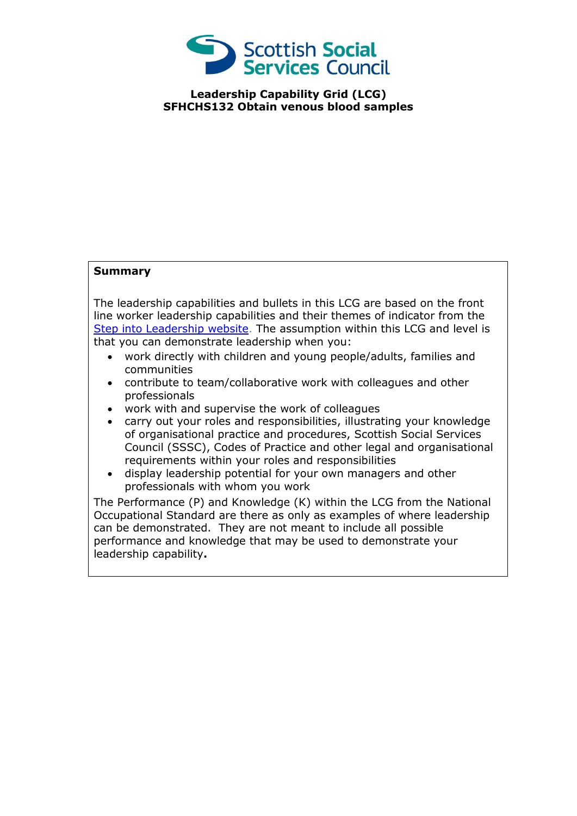

**Leadership Capability Grid (LCG) SFHCHS132 Obtain venous blood samples**

## **Summary**

The leadership capabilities and bullets in this LCG are based on the front line worker leadership capabilities and their themes of indicator from the [Step into Leadership website.](http://www.stepintoleadership.info/) The assumption within this LCG and level is that you can demonstrate leadership when you:

- work directly with children and young people/adults, families and communities
- contribute to team/collaborative work with colleagues and other professionals
- work with and supervise the work of colleagues
- carry out your roles and responsibilities, illustrating your knowledge of organisational practice and procedures, Scottish Social Services Council (SSSC), Codes of Practice and other legal and organisational requirements within your roles and responsibilities
- display leadership potential for your own managers and other professionals with whom you work

The Performance (P) and Knowledge (K) within the LCG from the National Occupational Standard are there as only as examples of where leadership can be demonstrated. They are not meant to include all possible performance and knowledge that may be used to demonstrate your leadership capability**.**